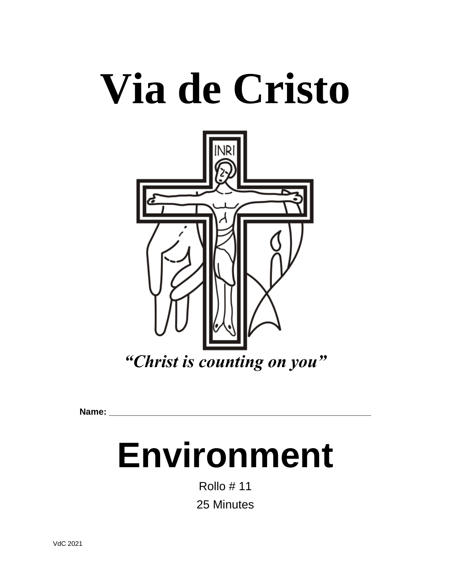# **Via de Cristo**



**Name: \_\_\_\_\_\_\_\_\_\_\_\_\_\_\_\_\_\_\_\_\_\_\_\_\_\_\_\_\_\_\_\_\_\_\_\_\_\_\_\_\_\_\_\_\_\_\_\_\_\_\_\_\_**

# **Environment**

Rollo # 11 25 Minutes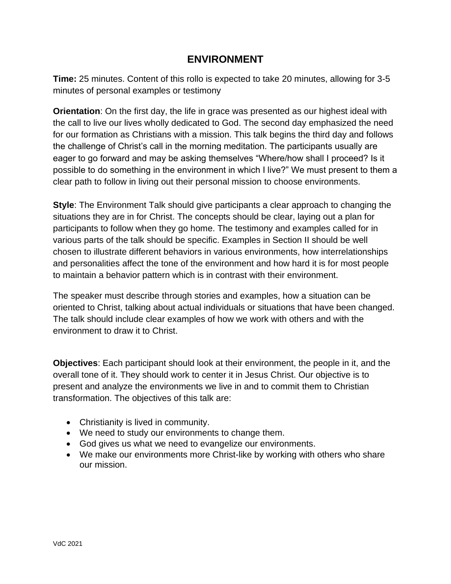# **ENVIRONMENT**

**Time:** 25 minutes. Content of this rollo is expected to take 20 minutes, allowing for 3-5 minutes of personal examples or testimony

**Orientation**: On the first day, the life in grace was presented as our highest ideal with the call to live our lives wholly dedicated to God. The second day emphasized the need for our formation as Christians with a mission. This talk begins the third day and follows the challenge of Christ's call in the morning meditation. The participants usually are eager to go forward and may be asking themselves "Where/how shall I proceed? Is it possible to do something in the environment in which I live?" We must present to them a clear path to follow in living out their personal mission to choose environments.

**Style**: The Environment Talk should give participants a clear approach to changing the situations they are in for Christ. The concepts should be clear, laying out a plan for participants to follow when they go home. The testimony and examples called for in various parts of the talk should be specific. Examples in Section II should be well chosen to illustrate different behaviors in various environments, how interrelationships and personalities affect the tone of the environment and how hard it is for most people to maintain a behavior pattern which is in contrast with their environment.

The speaker must describe through stories and examples, how a situation can be oriented to Christ, talking about actual individuals or situations that have been changed. The talk should include clear examples of how we work with others and with the environment to draw it to Christ.

**Objectives**: Each participant should look at their environment, the people in it, and the overall tone of it. They should work to center it in Jesus Christ. Our objective is to present and analyze the environments we live in and to commit them to Christian transformation. The objectives of this talk are:

- Christianity is lived in community.
- We need to study our environments to change them.
- God gives us what we need to evangelize our environments.
- We make our environments more Christ-like by working with others who share our mission.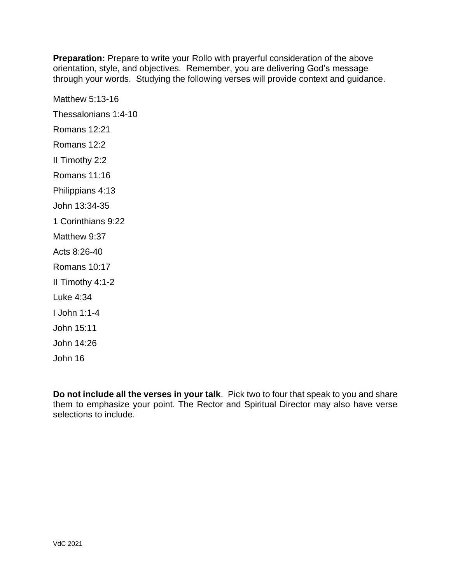**Preparation:** Prepare to write your Rollo with prayerful consideration of the above orientation, style, and objectives. Remember, you are delivering God's message through your words. Studying the following verses will provide context and guidance.

Matthew 5:13-16 Thessalonians 1:4-10 Romans 12:21 Romans 12:2 II Timothy 2:2 Romans 11:16 Philippians 4:13 John 13:34-35 1 Corinthians 9:22 Matthew 9:37 Acts 8:26-40 Romans 10:17 II Timothy 4:1-2 Luke 4:34 I John 1:1-4 John 15:11 John 14:26 John 16

**Do not include all the verses in your talk**. Pick two to four that speak to you and share them to emphasize your point. The Rector and Spiritual Director may also have verse selections to include.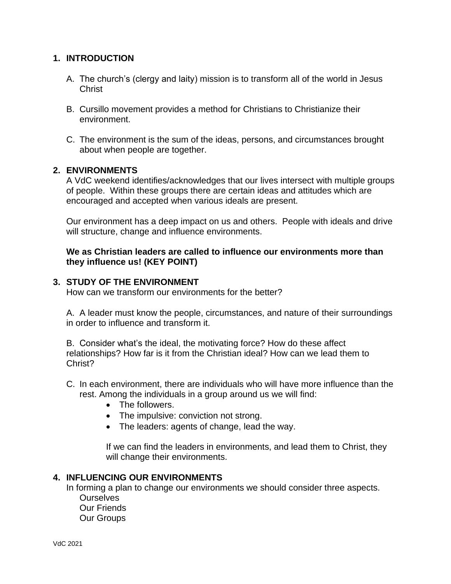### **1. INTRODUCTION**

- A. The church's (clergy and laity) mission is to transform all of the world in Jesus **Christ**
- B. Cursillo movement provides a method for Christians to Christianize their environment.
- C. The environment is the sum of the ideas, persons, and circumstances brought about when people are together.

#### **2. ENVIRONMENTS**

A VdC weekend identifies/acknowledges that our lives intersect with multiple groups of people. Within these groups there are certain ideas and attitudes which are encouraged and accepted when various ideals are present.

Our environment has a deep impact on us and others. People with ideals and drive will structure, change and influence environments.

#### **We as Christian leaders are called to influence our environments more than they influence us! (KEY POINT)**

#### **3. STUDY OF THE ENVIRONMENT**

How can we transform our environments for the better?

A. A leader must know the people, circumstances, and nature of their surroundings in order to influence and transform it.

B. Consider what's the ideal, the motivating force? How do these affect relationships? How far is it from the Christian ideal? How can we lead them to Christ?

- C. In each environment, there are individuals who will have more influence than the rest. Among the individuals in a group around us we will find:
	- The followers.
	- The impulsive: conviction not strong.
	- The leaders: agents of change, lead the way.

If we can find the leaders in environments, and lead them to Christ, they will change their environments.

#### **4. INFLUENCING OUR ENVIRONMENTS**

In forming a plan to change our environments we should consider three aspects.

**Ourselves** Our Friends Our Groups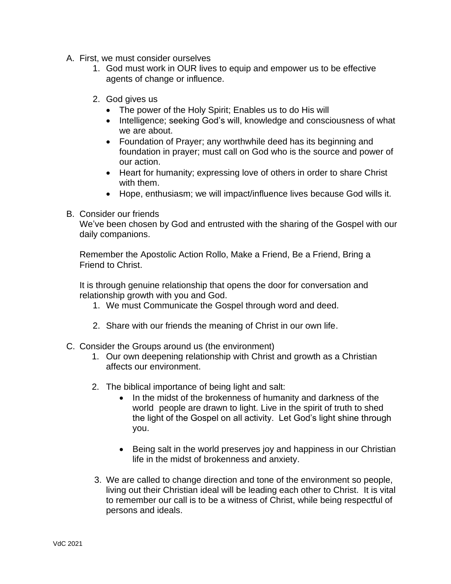- A. First, we must consider ourselves
	- 1. God must work in OUR lives to equip and empower us to be effective agents of change or influence.
	- 2. God gives us
		- The power of the Holy Spirit; Enables us to do His will
		- Intelligence; seeking God's will, knowledge and consciousness of what we are about.
		- Foundation of Prayer; any worthwhile deed has its beginning and foundation in prayer; must call on God who is the source and power of our action.
		- Heart for humanity; expressing love of others in order to share Christ with them.
		- Hope, enthusiasm; we will impact/influence lives because God wills it.
- B. Consider our friends

We've been chosen by God and entrusted with the sharing of the Gospel with our daily companions.

Remember the Apostolic Action Rollo, Make a Friend, Be a Friend, Bring a Friend to Christ.

It is through genuine relationship that opens the door for conversation and relationship growth with you and God.

- 1. We must Communicate the Gospel through word and deed.
- 2. Share with our friends the meaning of Christ in our own life.
- C. Consider the Groups around us (the environment)
	- 1. Our own deepening relationship with Christ and growth as a Christian affects our environment.
	- 2. The biblical importance of being light and salt:
		- In the midst of the brokenness of humanity and darkness of the world people are drawn to light. Live in the spirit of truth to shed the light of the Gospel on all activity. Let God's light shine through you.
		- Being salt in the world preserves joy and happiness in our Christian life in the midst of brokenness and anxiety.
	- 3. We are called to change direction and tone of the environment so people, living out their Christian ideal will be leading each other to Christ. It is vital to remember our call is to be a witness of Christ, while being respectful of persons and ideals.